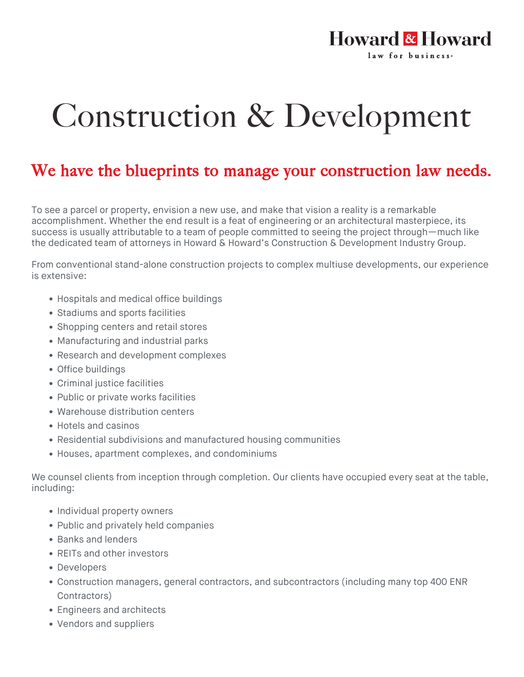## **Howard & Howard** law for business.

## Construction & Development

## We have the blueprints to manage your construction law needs.

To see a parcel or property, envision a new use, and make that vision a reality is a remarkable accomplishment. Whether the end result is a feat of engineering or an architectural masterpiece, its success is usually attributable to a team of people committed to seeing the project through—much like the dedicated team of attorneys in Howard & Howard's Construction & Development Industry Group.

From conventional stand-alone construction projects to complex multiuse developments, our experience is extensive:

- Hospitals and medical office buildings
- Stadiums and sports facilities
- Shopping centers and retail stores
- Manufacturing and industrial parks
- Research and development complexes
- Office buildings
- Criminal justice facilities
- Public or private works facilities
- Warehouse distribution centers
- Hotels and casinos
- Residential subdivisions and manufactured housing communities
- Houses, apartment complexes, and condominiums

We counsel clients from inception through completion. Our clients have occupied every seat at the table, including:

- Individual property owners
- Public and privately held companies
- Banks and lenders
- REITs and other investors
- Developers
- Construction managers, general contractors, and subcontractors (including many top 400 ENR Contractors)
- Engineers and architects
- Vendors and suppliers